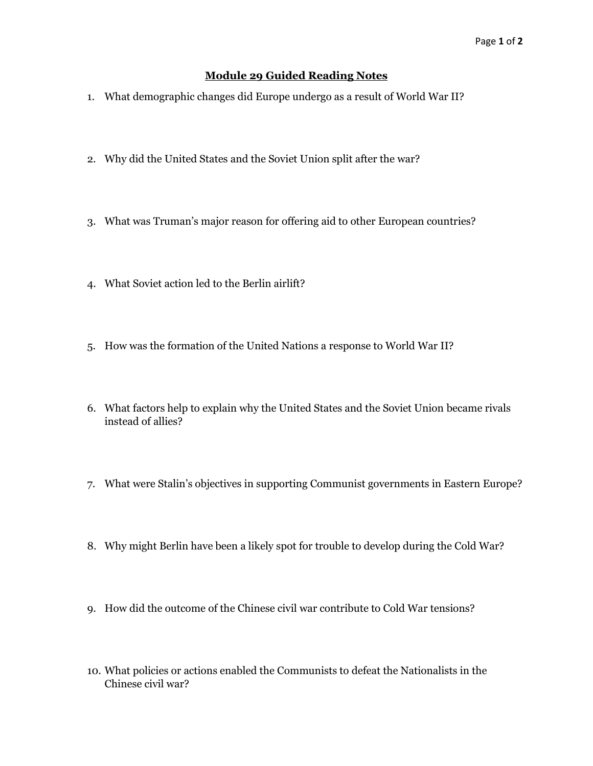## **Module 29 Guided Reading Notes**

- 1. What demographic changes did Europe undergo as a result of World War II?
- 2. Why did the United States and the Soviet Union split after the war?
- 3. What was Truman's major reason for offering aid to other European countries?
- 4. What Soviet action led to the Berlin airlift?
- 5. How was the formation of the United Nations a response to World War II?
- 6. What factors help to explain why the United States and the Soviet Union became rivals instead of allies?
- 7. What were Stalin's objectives in supporting Communist governments in Eastern Europe?
- 8. Why might Berlin have been a likely spot for trouble to develop during the Cold War?
- 9. How did the outcome of the Chinese civil war contribute to Cold War tensions?
- 10. What policies or actions enabled the Communists to defeat the Nationalists in the Chinese civil war?